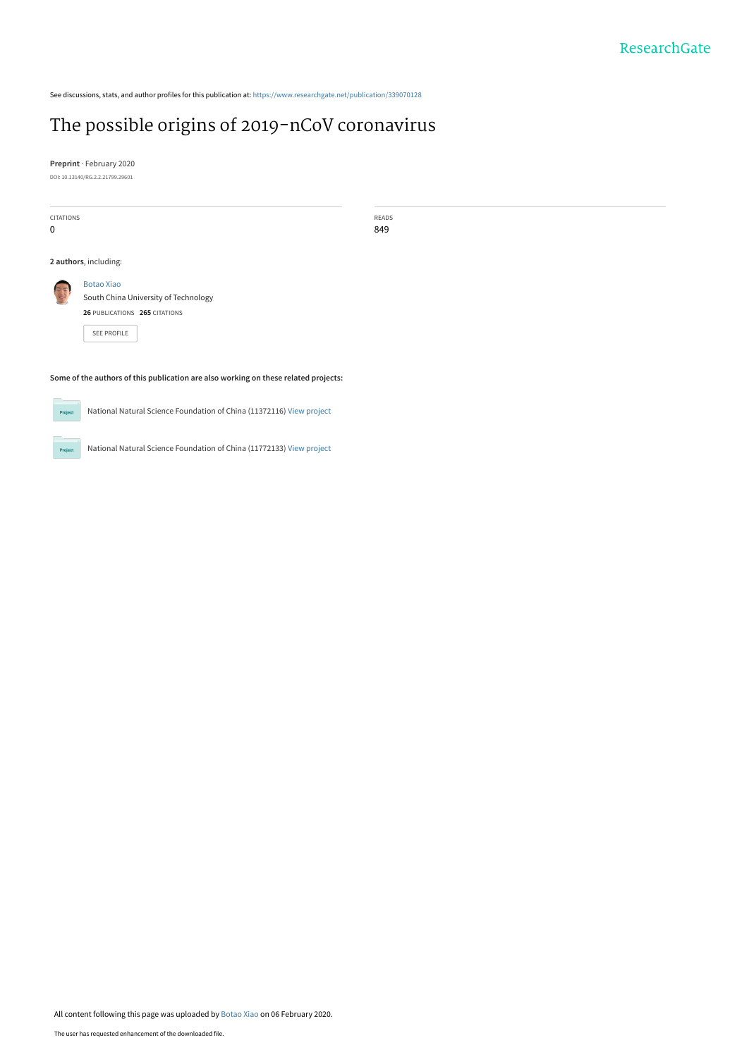See discussions, stats, and author profiles for this publication at: [https://www.researchgate.net/publication/339070128](https://www.researchgate.net/publication/339070128_The_possible_origins_of_2019-nCoV_coronavirus?enrichId=rgreq-693db6e8807449bda2c6d45bf4b9ce8b-XXX&enrichSource=Y292ZXJQYWdlOzMzOTA3MDEyODtBUzo4NTU1NDkzNTI2MzY0MTlAMTU4MDk5MDI2OTk4Mg%3D%3D&el=1_x_2&_esc=publicationCoverPdf)

# [The possible origins of 2019-nCoV coronavirus](https://www.researchgate.net/publication/339070128_The_possible_origins_of_2019-nCoV_coronavirus?enrichId=rgreq-693db6e8807449bda2c6d45bf4b9ce8b-XXX&enrichSource=Y292ZXJQYWdlOzMzOTA3MDEyODtBUzo4NTU1NDkzNTI2MzY0MTlAMTU4MDk5MDI2OTk4Mg%3D%3D&el=1_x_3&_esc=publicationCoverPdf)

**Preprint** · February 2020 DOI: 10.13140/RG.2.2.21799.29601

| <b>CITATIONS</b><br>0                                                               |                                                                                                                  | READS<br>849 |  |  |  |
|-------------------------------------------------------------------------------------|------------------------------------------------------------------------------------------------------------------|--------------|--|--|--|
| 2 authors, including:                                                               |                                                                                                                  |              |  |  |  |
| $\approx$ $\approx$                                                                 | <b>Botao Xiao</b><br>South China University of Technology<br>26 PUBLICATIONS 265 CITATIONS<br><b>SEE PROFILE</b> |              |  |  |  |
| Some of the authors of this publication are also working on these related projects: |                                                                                                                  |              |  |  |  |



 $Pro$ 

National Natural Science Foundation of China (11772133) [View project](https://www.researchgate.net/project/National-Natural-Science-Foundation-of-China-11772133?enrichId=rgreq-693db6e8807449bda2c6d45bf4b9ce8b-XXX&enrichSource=Y292ZXJQYWdlOzMzOTA3MDEyODtBUzo4NTU1NDkzNTI2MzY0MTlAMTU4MDk5MDI2OTk4Mg%3D%3D&el=1_x_9&_esc=publicationCoverPdf)

National Natural Science Foundation of China (11372116) [View project](https://www.researchgate.net/project/National-Natural-Science-Foundation-of-China-11372116?enrichId=rgreq-693db6e8807449bda2c6d45bf4b9ce8b-XXX&enrichSource=Y292ZXJQYWdlOzMzOTA3MDEyODtBUzo4NTU1NDkzNTI2MzY0MTlAMTU4MDk5MDI2OTk4Mg%3D%3D&el=1_x_9&_esc=publicationCoverPdf)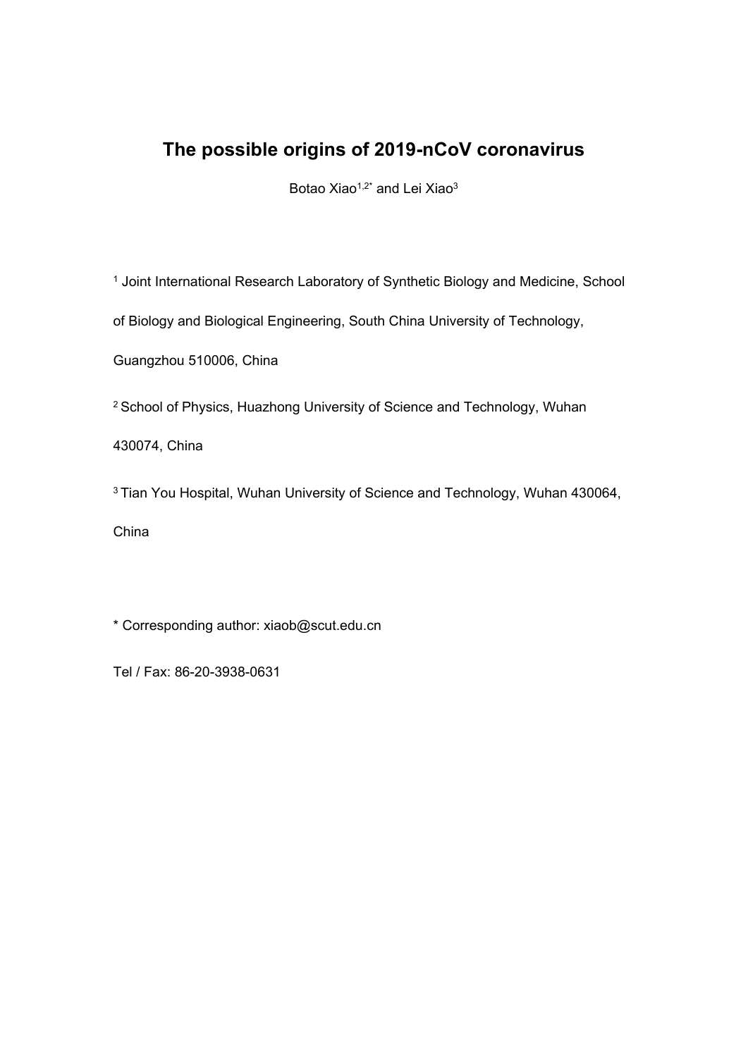## **The possible origins of 2019-nCoV coronavirus**

Botao Xiao<sup> $1,2^*$ </sup> and Lei Xiao<sup>3</sup>

1 Joint International Research Laboratory of Synthetic Biology and Medicine, School

of Biology and Biological Engineering, South China University of Technology,

Guangzhou 510006, China

2 School of Physics, Huazhong University of Science and Technology, Wuhan

430074, China

3 Tian You Hospital, Wuhan University of Science and Technology, Wuhan 430064,

China

\* Corresponding author: xiaob@scut.edu.cn

Tel / Fax: 86-20-3938-0631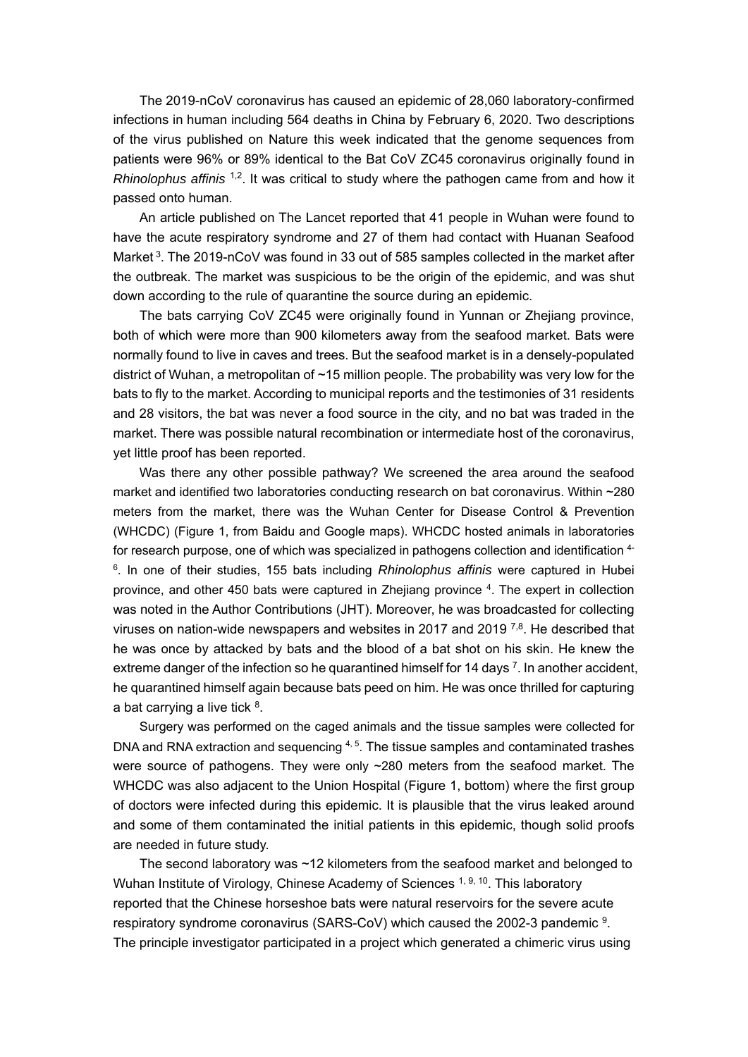The 2019-nCoV coronavirus has caused an epidemic of 28,060 laboratory-confirmed infections in human including 564 deaths in China by February 6, 2020. Two descriptions of the virus published on Nature this week indicated that the genome sequences from patients were 96% or 89% identical to the Bat CoV ZC45 coronavirus originally found in *Rhinolophus affinis* <sup>1,2</sup>. It was critical to study where the pathogen came from and how it passed onto human.

An article published on The Lancet reported that 41 people in Wuhan were found to have the acute respiratory syndrome and 27 of them had contact with Huanan Seafood Market <sup>3</sup>. The 2019-nCoV was found in 33 out of 585 samples collected in the market after the outbreak. The market was suspicious to be the origin of the epidemic, and was shut down according to the rule of quarantine the source during an epidemic.

The bats carrying CoV ZC45 were originally found in Yunnan or Zhejiang province, both of which were more than 900 kilometers away from the seafood market. Bats were normally found to live in caves and trees. But the seafood market is in a densely-populated district of Wuhan, a metropolitan of ~15 million people. The probability was very low for the bats to fly to the market. According to municipal reports and the testimonies of 31 residents and 28 visitors, the bat was never a food source in the city, and no bat was traded in the market. There was possible natural recombination or intermediate host of the coronavirus, yet little proof has been reported.

Was there any other possible pathway? We screened the area around the seafood market and identified two laboratories conducting research on bat coronavirus. Within ~280 meters from the market, there was the Wuhan Center for Disease Control & Prevention (WHCDC) (Figure 1, from Baidu and Google maps). WHCDC hosted animals in laboratories for research purpose, one of which was specialized in pathogens collection and identification 4- 6. In one of their studies, 155 bats including *Rhinolophus affinis* were captured in Hubei province, and other 450 bats were captured in Zhejiang province 4. The expert in collection was noted in the Author Contributions (JHT). Moreover, he was broadcasted for collecting viruses on nation-wide newspapers and websites in 2017 and 2019  $^{7,8}$ . He described that he was once by attacked by bats and the blood of a bat shot on his skin. He knew the extreme danger of the infection so he quarantined himself for 14 days  $7$ . In another accident, he quarantined himself again because bats peed on him. He was once thrilled for capturing a bat carrying a live tick  $8$ .

Surgery was performed on the caged animals and the tissue samples were collected for DNA and RNA extraction and sequencing  $4.5$ . The tissue samples and contaminated trashes were source of pathogens. They were only ~280 meters from the seafood market. The WHCDC was also adjacent to the Union Hospital (Figure 1, bottom) where the first group of doctors were infected during this epidemic. It is plausible that the virus leaked around and some of them contaminated the initial patients in this epidemic, though solid proofs are needed in future study.

The second laboratory was ~12 kilometers from the seafood market and belonged to Wuhan Institute of Virology, Chinese Academy of Sciences <sup>1, 9, 10</sup>. This laboratory reported that the Chinese horseshoe bats were natural reservoirs for the severe acute respiratory syndrome coronavirus (SARS-CoV) which caused the 2002-3 pandemic 9. The principle investigator participated in a project which generated a chimeric virus using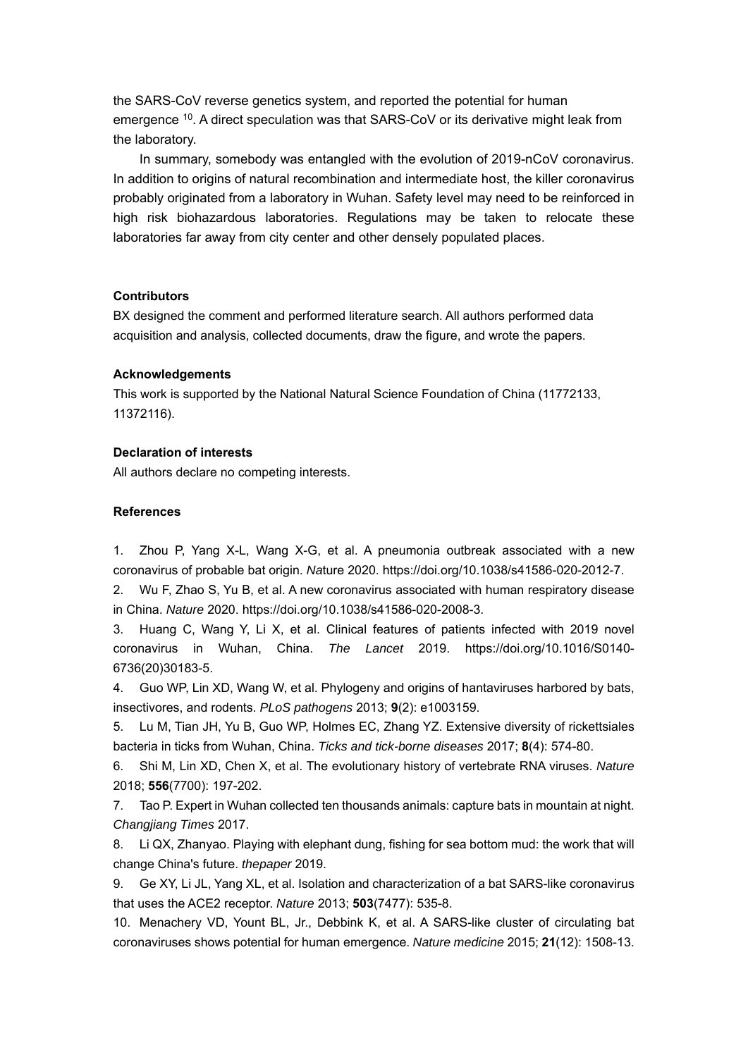the SARS-CoV reverse genetics system, and reported the potential for human emergence 10. A direct speculation was that SARS-CoV or its derivative might leak from the laboratory.

In summary, somebody was entangled with the evolution of 2019-nCoV coronavirus. In addition to origins of natural recombination and intermediate host, the killer coronavirus probably originated from a laboratory in Wuhan. Safety level may need to be reinforced in high risk biohazardous laboratories. Regulations may be taken to relocate these laboratories far away from city center and other densely populated places.

## **Contributors**

BX designed the comment and performed literature search. All authors performed data acquisition and analysis, collected documents, draw the figure, and wrote the papers.

#### **Acknowledgements**

This work is supported by the National Natural Science Foundation of China (11772133, 11372116).

### **Declaration of interests**

All authors declare no competing interests.

## **References**

1. Zhou P, Yang X-L, Wang X-G, et al. A pneumonia outbreak associated with a new coronavirus of probable bat origin. *Na*ture 2020. https://doi.org/10.1038/s41586-020-2012-7.

2. Wu F, Zhao S, Yu B, et al. A new coronavirus associated with human respiratory disease in China. *Nature* 2020. https://doi.org/10.1038/s41586-020-2008-3.

3. Huang C, Wang Y, Li X, et al. Clinical features of patients infected with 2019 novel coronavirus in Wuhan, China. *The Lancet* 2019. https://doi.org/10.1016/S0140- 6736(20)30183-5.

4. Guo WP, Lin XD, Wang W, et al. Phylogeny and origins of hantaviruses harbored by bats, insectivores, and rodents. *PLoS pathogens* 2013; **9**(2): e1003159.

5. Lu M, Tian JH, Yu B, Guo WP, Holmes EC, Zhang YZ. Extensive diversity of rickettsiales bacteria in ticks from Wuhan, China. *Ticks and tick-borne diseases* 2017; **8**(4): 574-80.

6. Shi M, Lin XD, Chen X, et al. The evolutionary history of vertebrate RNA viruses. *Nature* 2018; **556**(7700): 197-202.

7. Tao P. Expert in Wuhan collected ten thousands animals: capture bats in mountain at night. *Changjiang Times* 2017.

8. Li QX, Zhanyao. Playing with elephant dung, fishing for sea bottom mud: the work that will change China's future. *thepaper* 2019.

9. Ge XY, Li JL, Yang XL, et al. Isolation and characterization of a bat SARS-like coronavirus that uses the ACE2 receptor. *Nature* 2013; **503**(7477): 535-8.

10. Menachery VD, Yount BL, Jr., Debbink K, et al. A SARS-like cluster of circulating bat coronaviruses shows potential for human emergence. *Nature medicine* 2015; **21**(12): 1508-13.